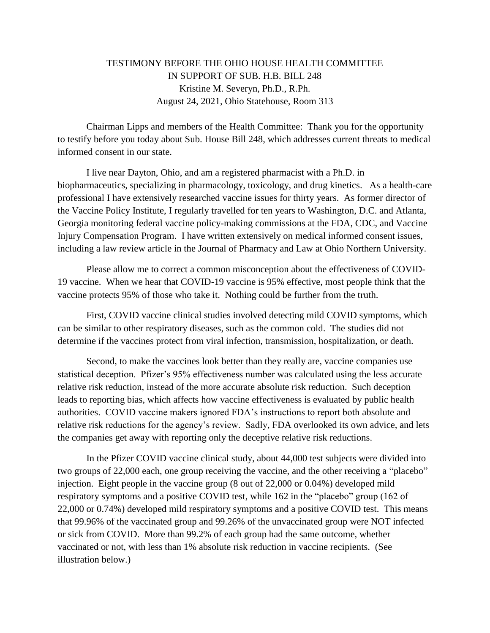## TESTIMONY BEFORE THE OHIO HOUSE HEALTH COMMITTEE IN SUPPORT OF SUB. H.B. BILL 248 Kristine M. Severyn, Ph.D., R.Ph. August 24, 2021, Ohio Statehouse, Room 313

Chairman Lipps and members of the Health Committee: Thank you for the opportunity to testify before you today about Sub. House Bill 248, which addresses current threats to medical informed consent in our state.

I live near Dayton, Ohio, and am a registered pharmacist with a Ph.D. in biopharmaceutics, specializing in pharmacology, toxicology, and drug kinetics. As a health-care professional I have extensively researched vaccine issues for thirty years. As former director of the Vaccine Policy Institute, I regularly travelled for ten years to Washington, D.C. and Atlanta, Georgia monitoring federal vaccine policy-making commissions at the FDA, CDC, and Vaccine Injury Compensation Program. I have written extensively on medical informed consent issues, including a law review article in the Journal of Pharmacy and Law at Ohio Northern University.

Please allow me to correct a common misconception about the effectiveness of COVID-19 vaccine. When we hear that COVID-19 vaccine is 95% effective, most people think that the vaccine protects 95% of those who take it. Nothing could be further from the truth.

First, COVID vaccine clinical studies involved detecting mild COVID symptoms, which can be similar to other respiratory diseases, such as the common cold. The studies did not determine if the vaccines protect from viral infection, transmission, hospitalization, or death.

Second, to make the vaccines look better than they really are, vaccine companies use statistical deception. Pfizer's 95% effectiveness number was calculated using the less accurate relative risk reduction, instead of the more accurate absolute risk reduction. Such deception leads to reporting bias, which affects how vaccine effectiveness is evaluated by public health authorities. COVID vaccine makers ignored FDA's instructions to report both absolute and relative risk reductions for the agency's review. Sadly, FDA overlooked its own advice, and lets the companies get away with reporting only the deceptive relative risk reductions.

In the Pfizer COVID vaccine clinical study, about 44,000 test subjects were divided into two groups of 22,000 each, one group receiving the vaccine, and the other receiving a "placebo" injection. Eight people in the vaccine group (8 out of 22,000 or 0.04%) developed mild respiratory symptoms and a positive COVID test, while 162 in the "placebo" group (162 of 22,000 or 0.74%) developed mild respiratory symptoms and a positive COVID test. This means that 99.96% of the vaccinated group and 99.26% of the unvaccinated group were NOT infected or sick from COVID. More than 99.2% of each group had the same outcome, whether vaccinated or not, with less than 1% absolute risk reduction in vaccine recipients. (See illustration below.)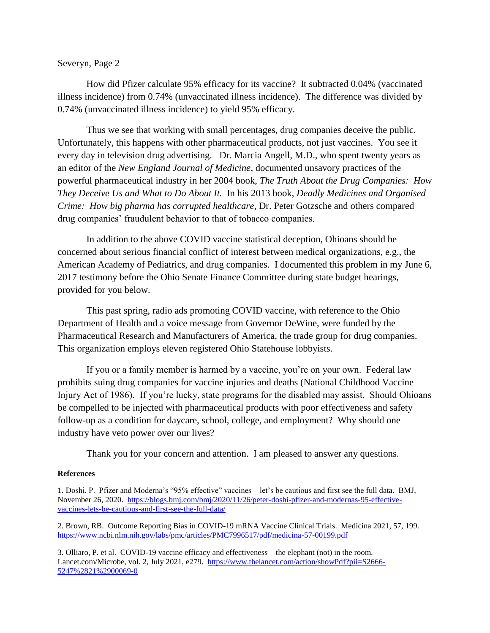#### Severyn, Page 2

How did Pfizer calculate 95% efficacy for its vaccine? It subtracted 0.04% (vaccinated illness incidence) from 0.74% (unvaccinated illness incidence). The difference was divided by 0.74% (unvaccinated illness incidence) to yield 95% efficacy.

Thus we see that working with small percentages, drug companies deceive the public. Unfortunately, this happens with other pharmaceutical products, not just vaccines. You see it every day in television drug advertising. Dr. Marcia Angell, M.D., who spent twenty years as an editor of the *New England Journal of Medicine*, documented unsavory practices of the powerful pharmaceutical industry in her 2004 book, *The Truth About the Drug Companies: How They Deceive Us and What to Do About It.* In his 2013 book, *Deadly Medicines and Organised Crime: How big pharma has corrupted healthcare, Dr. Peter Gotzsche and others compared* drug companies' fraudulent behavior to that of tobacco companies.

In addition to the above COVID vaccine statistical deception, Ohioans should be concerned about serious financial conflict of interest between medical organizations, e.g., the American Academy of Pediatrics, and drug companies. I documented this problem in my June 6, 2017 testimony before the Ohio Senate Finance Committee during state budget hearings, provided for you below.

This past spring, radio ads promoting COVID vaccine, with reference to the Ohio Department of Health and a voice message from Governor DeWine, were funded by the Pharmaceutical Research and Manufacturers of America, the trade group for drug companies. This organization employs eleven registered Ohio Statehouse lobbyists.

If you or a family member is harmed by a vaccine, you're on your own. Federal law prohibits suing drug companies for vaccine injuries and deaths (National Childhood Vaccine Injury Act of 1986). If you're lucky, state programs for the disabled may assist. Should Ohioans be compelled to be injected with pharmaceutical products with poor effectiveness and safety follow-up as a condition for daycare, school, college, and employment? Why should one industry have veto power over our lives?

Thank you for your concern and attention. I am pleased to answer any questions.

#### **References**

1. Doshi, P. Pfizer and Moderna's "95% effective" vaccines—let's be cautious and first see the full data. BMJ, November 26, 2020. [https://blogs.bmj.com/bmj/2020/11/26/peter-doshi-pfizer-and-modernas-95-effective](https://blogs.bmj.com/bmj/2020/11/26/peter-doshi-pfizer-and-modernas-95-effective-vaccines-lets-be-cautious-and-first-see-the-full-data/)[vaccines-lets-be-cautious-and-first-see-the-full-data/](https://blogs.bmj.com/bmj/2020/11/26/peter-doshi-pfizer-and-modernas-95-effective-vaccines-lets-be-cautious-and-first-see-the-full-data/)

2. Brown, RB. Outcome Reporting Bias in COVID-19 mRNA Vaccine Clinical Trials. Medicina 2021, 57, 199. <https://www.ncbi.nlm.nih.gov/labs/pmc/articles/PMC7996517/pdf/medicina-57-00199.pdf>

3. Olliaro, P. et al. COVID-19 vaccine efficacy and effectiveness—the elephant (not) in the room. Lancet.com/Microbe, vol. 2, July 2021, e279. [https://www.thelancet.com/action/showPdf?pii=S2666-](https://www.thelancet.com/action/showPdf?pii=S2666-5247%2821%2900069-0) [5247%2821%2900069-0](https://www.thelancet.com/action/showPdf?pii=S2666-5247%2821%2900069-0)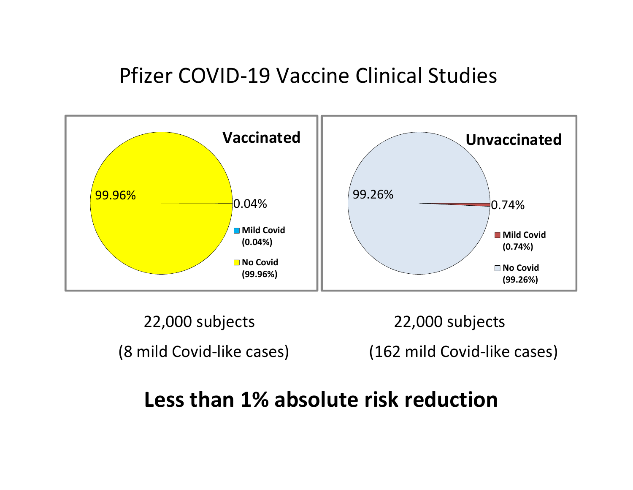# Pfizer COVID-19 Vaccine Clinical Studies



22,000 subjects 22,000 subjects

(8 mild Covid-like cases) (162 mild Covid-like cases)

# Less than 1% absolute risk reduction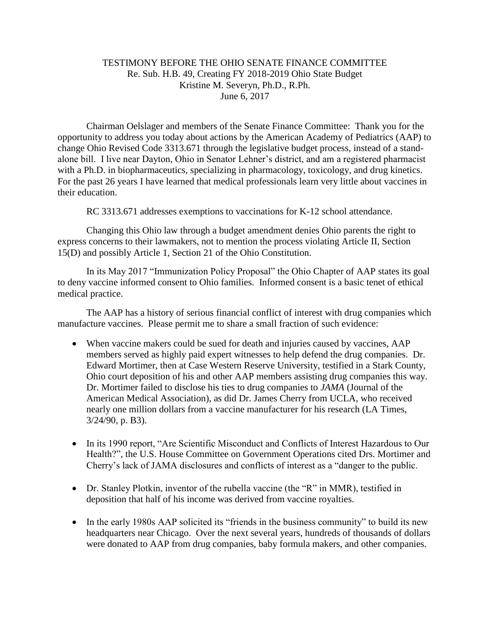### TESTIMONY BEFORE THE OHIO SENATE FINANCE COMMITTEE Re. Sub. H.B. 49, Creating FY 2018-2019 Ohio State Budget Kristine M. Severyn, Ph.D., R.Ph. June 6, 2017

Chairman Oelslager and members of the Senate Finance Committee: Thank you for the opportunity to address you today about actions by the American Academy of Pediatrics (AAP) to change Ohio Revised Code 3313.671 through the legislative budget process, instead of a standalone bill. I live near Dayton, Ohio in Senator Lehner's district, and am a registered pharmacist with a Ph.D. in biopharmaceutics, specializing in pharmacology, toxicology, and drug kinetics. For the past 26 years I have learned that medical professionals learn very little about vaccines in their education.

RC 3313.671 addresses exemptions to vaccinations for K-12 school attendance.

Changing this Ohio law through a budget amendment denies Ohio parents the right to express concerns to their lawmakers, not to mention the process violating Article II, Section 15(D) and possibly Article 1, Section 21 of the Ohio Constitution.

In its May 2017 "Immunization Policy Proposal" the Ohio Chapter of AAP states its goal to deny vaccine informed consent to Ohio families. Informed consent is a basic tenet of ethical medical practice.

The AAP has a history of serious financial conflict of interest with drug companies which manufacture vaccines. Please permit me to share a small fraction of such evidence:

- When vaccine makers could be sued for death and injuries caused by vaccines, AAP members served as highly paid expert witnesses to help defend the drug companies. Dr. Edward Mortimer, then at Case Western Reserve University, testified in a Stark County, Ohio court deposition of his and other AAP members assisting drug companies this way. Dr. Mortimer failed to disclose his ties to drug companies to *JAMA* (Journal of the American Medical Association), as did Dr. James Cherry from UCLA, who received nearly one million dollars from a vaccine manufacturer for his research (LA Times, 3/24/90, p. B3).
- In its 1990 report, "Are Scientific Misconduct and Conflicts of Interest Hazardous to Our Health?", the U.S. House Committee on Government Operations cited Drs. Mortimer and Cherry's lack of JAMA disclosures and conflicts of interest as a "danger to the public.
- Dr. Stanley Plotkin, inventor of the rubella vaccine (the "R" in MMR), testified in deposition that half of his income was derived from vaccine royalties.
- In the early 1980s AAP solicited its "friends in the business community" to build its new headquarters near Chicago. Over the next several years, hundreds of thousands of dollars were donated to AAP from drug companies, baby formula makers, and other companies.